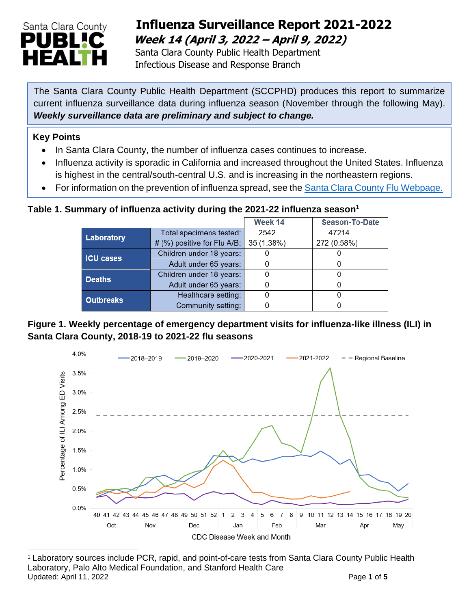

## **Influenza Surveillance Report 2021-2022 Week 14 (April 3, 2022 – April 9, 2022)**

 Santa Clara County Public Health Department Infectious Disease and Response Branch

The Santa Clara County Public Health Department (SCCPHD) produces this report to summarize current influenza surveillance data during influenza season (November through the following May). *Weekly surveillance data are preliminary and subject to change.*

#### **Key Points**

- In Santa Clara County, the number of influenza cases continues to increase.
- Influenza activity is sporadic in California and increased throughout the United States. Influenza is highest in the central/south-central U.S. and is increasing in the northeastern regions.
- For information on the prevention of influenza spread, see the [Santa Clara County Flu Webpage.](https://publichealth.sccgov.org/disease-information/influenza-flu)

### **Table 1. Summary of influenza activity during the 2021-22 influenza season<sup>1</sup>**

|                  |                             | Week 14    | <b>Season-To-Date</b> |  |
|------------------|-----------------------------|------------|-----------------------|--|
| Laboratory       | Total specimens tested:     | 2542       | 47214                 |  |
|                  | # (%) positive for Flu A/B: | 35 (1.38%) | 272 (0.58%)           |  |
| <b>ICU cases</b> | Children under 18 years:    |            |                       |  |
|                  | Adult under 65 years:       |            | O                     |  |
| <b>Deaths</b>    | Children under 18 years:    | 0          | O                     |  |
|                  | Adult under 65 years:       |            |                       |  |
| <b>Outbreaks</b> | Healthcare setting:         |            |                       |  |
|                  | Community setting:          |            |                       |  |

#### **Figure 1. Weekly percentage of emergency department visits for influenza-like illness (ILI) in Santa Clara County, 2018-19 to 2021-22 flu seasons**



<sup>1</sup> Laboratory sources include PCR, rapid, and point-of-care tests from Santa Clara County Public Health Laboratory, Palo Alto Medical Foundation, and Stanford Health Care Updated: April 11, 2022 **Page 1** of **5**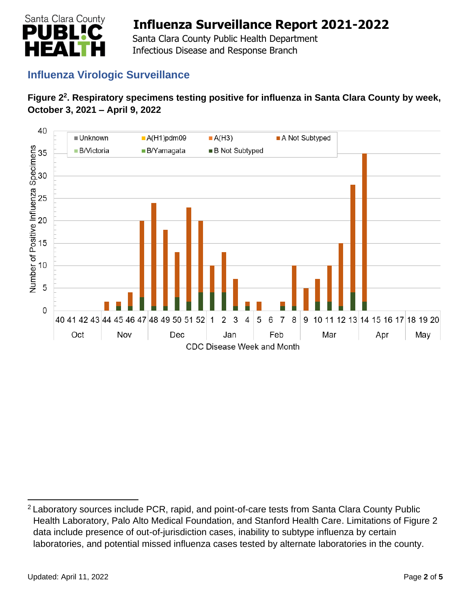

 Santa Clara County Public Health Department Infectious Disease and Response Branch

## **Influenza Virologic Surveillance**

#### **Figure 2<sup>2</sup> . Respiratory specimens testing positive for influenza in Santa Clara County by week, October 3, 2021 – April 9, 2022**



<sup>&</sup>lt;sup>2</sup> Laboratory sources include PCR, rapid, and point-of-care tests from Santa Clara County Public Health Laboratory, Palo Alto Medical Foundation, and Stanford Health Care. Limitations of Figure 2 data include presence of out-of-jurisdiction cases, inability to subtype influenza by certain laboratories, and potential missed influenza cases tested by alternate laboratories in the county.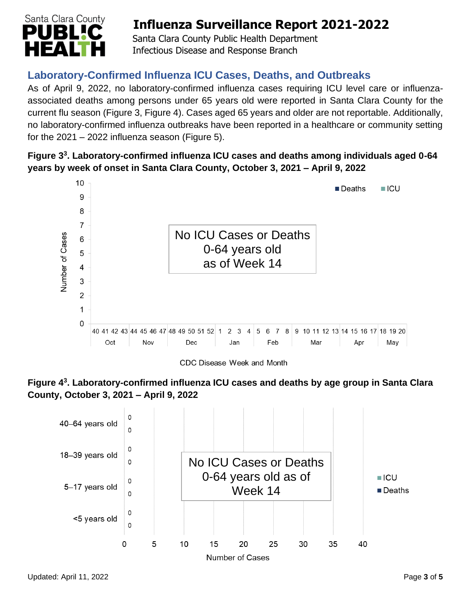

 Santa Clara County Public Health Department Infectious Disease and Response Branch

## **Laboratory-Confirmed Influenza ICU Cases, Deaths, and Outbreaks**

As of April 9, 2022, no laboratory-confirmed influenza cases requiring ICU level care or influenzaassociated deaths among persons under 65 years old were reported in Santa Clara County for the current flu season (Figure 3, Figure 4). Cases aged 65 years and older are not reportable. Additionally, no laboratory-confirmed influenza outbreaks have been reported in a healthcare or community setting for the  $2021 - 2022$  influenza season (Figure 5).

### **Figure 3 3 . Laboratory-confirmed influenza ICU cases and deaths among individuals aged 0-64 years by week of onset in Santa Clara County, October 3, 2021 – April 9, 2022**



CDC Disease Week and Month



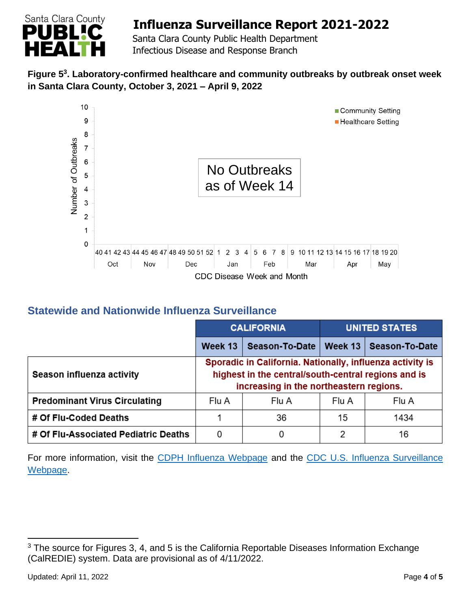

 Santa Clara County Public Health Department Infectious Disease and Response Branch

#### **Figure 5 3 . Laboratory-confirmed healthcare and community outbreaks by outbreak onset week in Santa Clara County, October 3, 2021 – April 9, 2022**



### **Statewide and Nationwide Influenza Surveillance**

|                                      | <b>CALIFORNIA</b>                                                                                                                                           |                       | <b>UNITED STATES</b> |                |
|--------------------------------------|-------------------------------------------------------------------------------------------------------------------------------------------------------------|-----------------------|----------------------|----------------|
|                                      | Week 13                                                                                                                                                     | <b>Season-To-Date</b> | Week 13              | Season-To-Date |
| Season influenza activity            | Sporadic in California. Nationally, influenza activity is<br>highest in the central/south-central regions and is<br>increasing in the northeastern regions. |                       |                      |                |
| <b>Predominant Virus Circulating</b> | Flu A                                                                                                                                                       | Flu A                 | Flu A                | Flu A          |
| # Of Flu-Coded Deaths                |                                                                                                                                                             | 36                    | 15                   | 1434           |
| # Of Flu-Associated Pediatric Deaths | 0                                                                                                                                                           | 0                     | 2                    | 16             |

For more information, visit the [CDPH Influenza Webpage](http://www.cdph.ca.gov/Programs/CID/DCDC/Pages/Immunization/Influenza.aspx) and the CDC U.S. Influenza Surveillance [Webpage.](http://www.cdc.gov/flu/weekly/)

<sup>&</sup>lt;sup>3</sup> The source for Figures 3, 4, and 5 is the California Reportable Diseases Information Exchange (CalREDIE) system. Data are provisional as of 4/11/2022.